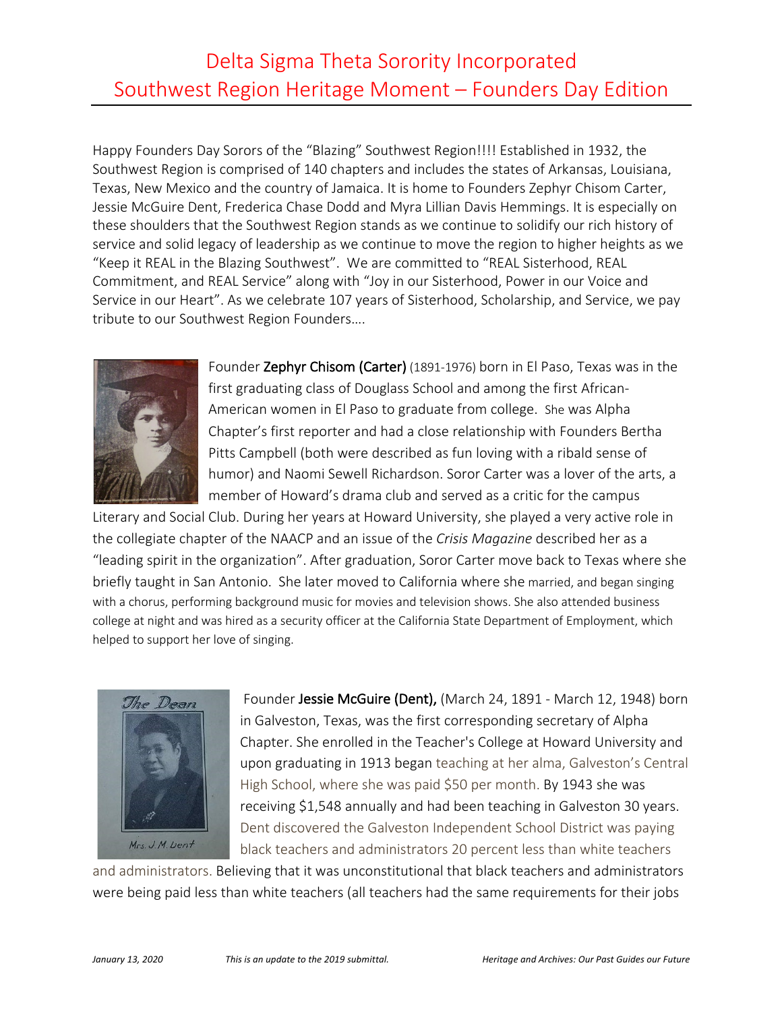## Delta Sigma Theta Sorority Incorporated Southwest Region Heritage Moment – Founders Day Edition

Happy Founders Day Sorors of the "Blazing" Southwest Region!!!! Established in 1932, the Southwest Region is comprised of 140 chapters and includes the states of Arkansas, Louisiana, Texas, New Mexico and the country of Jamaica. It is home to Founders Zephyr Chisom Carter, Jessie McGuire Dent, Frederica Chase Dodd and Myra Lillian Davis Hemmings. It is especially on these shoulders that the Southwest Region stands as we continue to solidify our rich history of service and solid legacy of leadership as we continue to move the region to higher heights as we "Keep it REAL in the Blazing Southwest". We are committed to "REAL Sisterhood, REAL Commitment, and REAL Service" along with "Joy in our Sisterhood, Power in our Voice and Service in our Heart". As we celebrate 107 years of Sisterhood, Scholarship, and Service, we pay tribute to our Southwest Region Founders….



Founder Zephyr Chisom (Carter) (1891-1976) born in El Paso, Texas was in the first graduating class of Douglass School and among the first African-American women in El Paso to graduate from college. She was Alpha Chapter's first reporter and had a close relationship with Founders Bertha Pitts Campbell (both were described as fun loving with a ribald sense of humor) and Naomi Sewell Richardson. Soror Carter was a lover of the arts, a member of Howard's drama club and served as a critic for the campus

Literary and Social Club. During her years at Howard University, she played a very active role in the collegiate chapter of the NAACP and an issue of the *Crisis Magazine* described her as a "leading spirit in the organization". After graduation, Soror Carter move back to Texas where she briefly taught in San Antonio. She later moved to California where she married, and began singing with a chorus, performing background music for movies and television shows. She also attended business college at night and was hired as a security officer at the California State Department of Employment, which helped to support her love of singing.



Founder Jessie McGuire (Dent), (March 24, 1891 - March 12, 1948) born in Galveston, Texas, was the first corresponding secretary of Alpha Chapter. She enrolled in the Teacher's College at Howard University and upon graduating in 1913 began teaching at her alma, Galveston's Central High School, where she was paid \$50 per month. By 1943 she was receiving \$1,548 annually and had been teaching in Galveston 30 years. Dent discovered the Galveston Independent School District was paying black teachers and administrators 20 percent less than white teachers

and administrators. Believing that it was unconstitutional that black teachers and administrators were being paid less than white teachers (all teachers had the same requirements for their jobs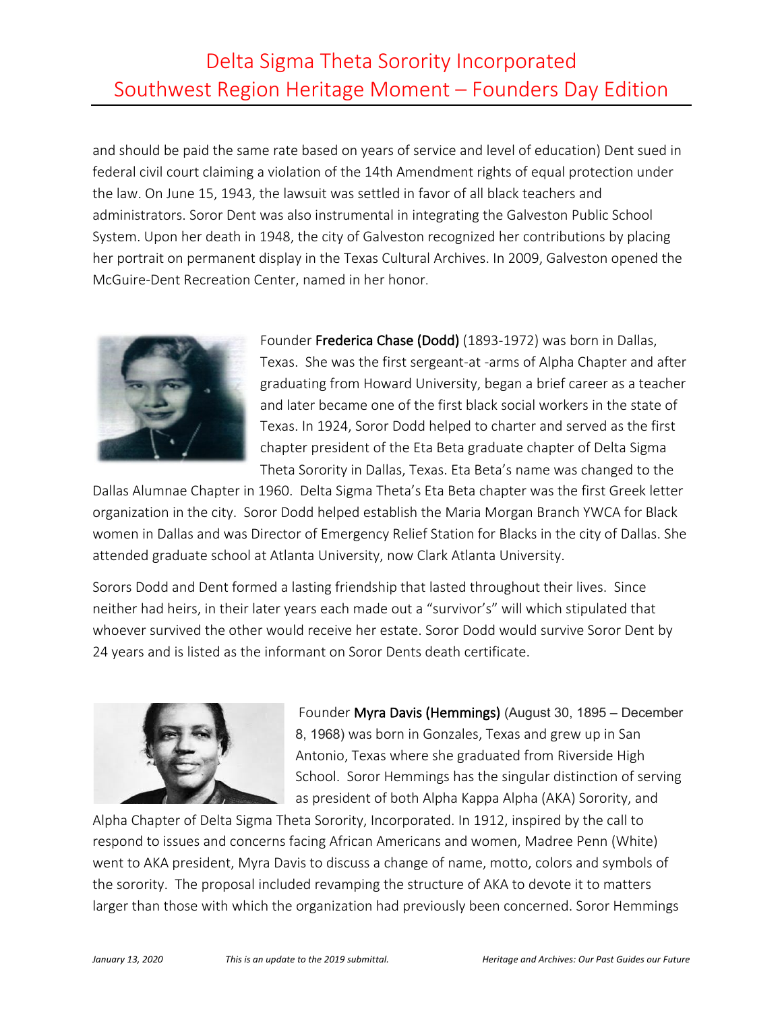## Delta Sigma Theta Sorority Incorporated Southwest Region Heritage Moment – Founders Day Edition

and should be paid the same rate based on years of service and level of education) Dent sued in federal civil court claiming a violation of the 14th Amendment rights of equal protection under the law. On June 15, 1943, the lawsuit was settled in favor of all black teachers and administrators. Soror Dent was also instrumental in integrating the Galveston Public School System. Upon her death in 1948, the city of Galveston recognized her contributions by placing her portrait on permanent display in the Texas Cultural Archives. In 2009, Galveston opened the McGuire-Dent Recreation Center, named in her honor.



Founder Frederica Chase (Dodd) (1893-1972) was born in Dallas, Texas. She was the first sergeant-at -arms of Alpha Chapter and after graduating from Howard University, began a brief career as a teacher and later became one of the first black social workers in the state of Texas. In 1924, Soror Dodd helped to charter and served as the first chapter president of the Eta Beta graduate chapter of Delta Sigma Theta Sorority in Dallas, Texas. Eta Beta's name was changed to the

Dallas Alumnae Chapter in 1960. Delta Sigma Theta's Eta Beta chapter was the first Greek letter organization in the city. Soror Dodd helped establish the Maria Morgan Branch YWCA for Black women in Dallas and was Director of Emergency Relief Station for Blacks in the city of Dallas. She attended graduate school at Atlanta University, now Clark Atlanta University.

Sorors Dodd and Dent formed a lasting friendship that lasted throughout their lives. Since neither had heirs, in their later years each made out a "survivor's" will which stipulated that whoever survived the other would receive her estate. Soror Dodd would survive Soror Dent by 24 years and is listed as the informant on Soror Dents death certificate.



Founder Myra Davis (Hemmings) (August 30, 1895 – December 8, 1968) was born in Gonzales, Texas and grew up in San Antonio, Texas where she graduated from Riverside High School. Soror Hemmings has the singular distinction of serving as president of both Alpha Kappa Alpha (AKA) Sorority, and

Alpha Chapter of Delta Sigma Theta Sorority, Incorporated. In 1912, inspired by the call to respond to issues and concerns facing African Americans and women, Madree Penn (White) went to AKA president, Myra Davis to discuss a change of name, motto, colors and symbols of the sorority. The proposal included revamping the structure of AKA to devote it to matters larger than those with which the organization had previously been concerned. Soror Hemmings